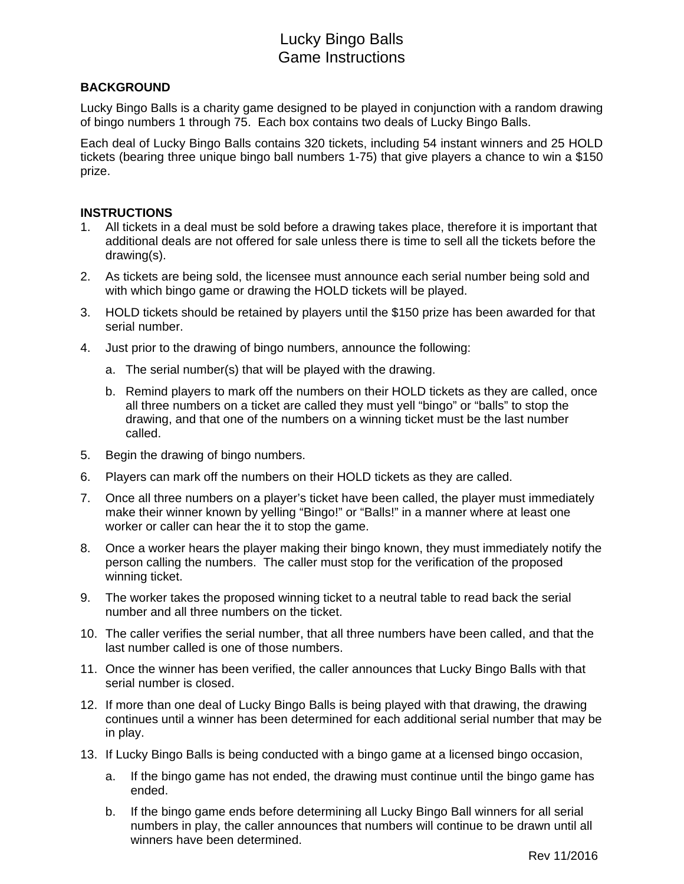# Lucky Bingo Balls Game Instructions

### **BACKGROUND**

Lucky Bingo Balls is a charity game designed to be played in conjunction with a random drawing of bingo numbers 1 through 75. Each box contains two deals of Lucky Bingo Balls.

Each deal of Lucky Bingo Balls contains 320 tickets, including 54 instant winners and 25 HOLD tickets (bearing three unique bingo ball numbers 1-75) that give players a chance to win a \$150 prize.

#### **INSTRUCTIONS**

- 1. All tickets in a deal must be sold before a drawing takes place, therefore it is important that additional deals are not offered for sale unless there is time to sell all the tickets before the drawing(s).
- 2. As tickets are being sold, the licensee must announce each serial number being sold and with which bingo game or drawing the HOLD tickets will be played.
- 3. HOLD tickets should be retained by players until the \$150 prize has been awarded for that serial number.
- 4. Just prior to the drawing of bingo numbers, announce the following:
	- a. The serial number(s) that will be played with the drawing.
	- b. Remind players to mark off the numbers on their HOLD tickets as they are called, once all three numbers on a ticket are called they must yell "bingo" or "balls" to stop the drawing, and that one of the numbers on a winning ticket must be the last number called.
- 5. Begin the drawing of bingo numbers.
- 6. Players can mark off the numbers on their HOLD tickets as they are called.
- 7. Once all three numbers on a player's ticket have been called, the player must immediately make their winner known by yelling "Bingo!" or "Balls!" in a manner where at least one worker or caller can hear the it to stop the game.
- 8. Once a worker hears the player making their bingo known, they must immediately notify the person calling the numbers. The caller must stop for the verification of the proposed winning ticket.
- 9. The worker takes the proposed winning ticket to a neutral table to read back the serial number and all three numbers on the ticket.
- 10. The caller verifies the serial number, that all three numbers have been called, and that the last number called is one of those numbers.
- 11. Once the winner has been verified, the caller announces that Lucky Bingo Balls with that serial number is closed.
- 12. If more than one deal of Lucky Bingo Balls is being played with that drawing, the drawing continues until a winner has been determined for each additional serial number that may be in play.
- 13. If Lucky Bingo Balls is being conducted with a bingo game at a licensed bingo occasion,
	- a. If the bingo game has not ended, the drawing must continue until the bingo game has ended.
	- b. If the bingo game ends before determining all Lucky Bingo Ball winners for all serial numbers in play, the caller announces that numbers will continue to be drawn until all winners have been determined.